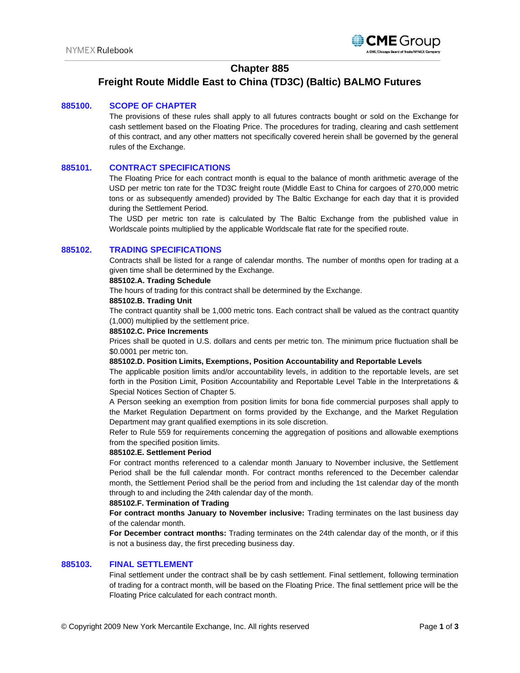

# **Chapter 885**

# **Freight Route Middle East to China (TD3C) (Baltic) BALMO Futures**

#### **885100. SCOPE OF CHAPTER**

The provisions of these rules shall apply to all futures contracts bought or sold on the Exchange for cash settlement based on the Floating Price. The procedures for trading, clearing and cash settlement of this contract, and any other matters not specifically covered herein shall be governed by the general rules of the Exchange.

### **885101. CONTRACT SPECIFICATIONS**

The Floating Price for each contract month is equal to the balance of month arithmetic average of the USD per metric ton rate for the TD3C freight route (Middle East to China for cargoes of 270,000 metric tons or as subsequently amended) provided by The Baltic Exchange for each day that it is provided during the Settlement Period.

The USD per metric ton rate is calculated by The Baltic Exchange from the published value in Worldscale points multiplied by the applicable Worldscale flat rate for the specified route.

#### **885102. TRADING SPECIFICATIONS**

Contracts shall be listed for a range of calendar months. The number of months open for trading at a given time shall be determined by the Exchange.

#### **885102.A. Trading Schedule**

The hours of trading for this contract shall be determined by the Exchange.

#### **885102.B. Trading Unit**

The contract quantity shall be 1,000 metric tons. Each contract shall be valued as the contract quantity (1,000) multiplied by the settlement price.

#### **885102.C. Price Increments**

Prices shall be quoted in U.S. dollars and cents per metric ton. The minimum price fluctuation shall be \$0.0001 per metric ton.

#### **885102.D. Position Limits, Exemptions, Position Accountability and Reportable Levels**

The applicable position limits and/or accountability levels, in addition to the reportable levels, are set forth in the Position Limit, Position Accountability and Reportable Level Table in the Interpretations & Special Notices Section of Chapter 5.

A Person seeking an exemption from position limits for bona fide commercial purposes shall apply to the Market Regulation Department on forms provided by the Exchange, and the Market Regulation Department may grant qualified exemptions in its sole discretion.

Refer to Rule 559 for requirements concerning the aggregation of positions and allowable exemptions from the specified position limits.

#### **885102.E. Settlement Period**

For contract months referenced to a calendar month January to November inclusive, the Settlement Period shall be the full calendar month. For contract months referenced to the December calendar month, the Settlement Period shall be the period from and including the 1st calendar day of the month through to and including the 24th calendar day of the month.

#### **885102.F. Termination of Trading**

**For contract months January to November inclusive:** Trading terminates on the last business day of the calendar month.

**For December contract months:** Trading terminates on the 24th calendar day of the month, or if this is not a business day, the first preceding business day.

#### **885103. FINAL SETTLEMENT**

Final settlement under the contract shall be by cash settlement. Final settlement, following termination of trading for a contract month, will be based on the Floating Price. The final settlement price will be the Floating Price calculated for each contract month.